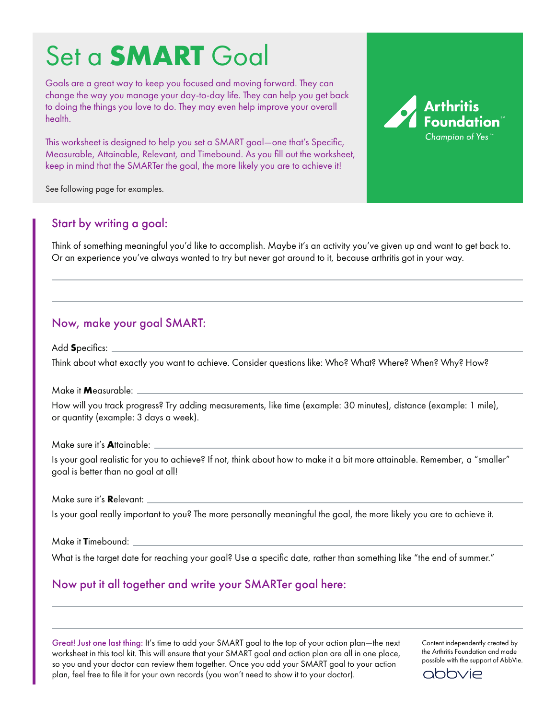## Set a **SMART** Goal

Goals are a great way to keep you focused and moving forward. They can change the way you manage your day-to-day life. They can help you get back to doing the things you love to do. They may even help improve your overall health.

This worksheet is designed to help you set a SMART goal—one that's Specific, Measurable, Attainable, Relevant, and Timebound. As you fill out the worksheet, keep in mind that the SMARTer the goal, the more likely you are to achieve it!



See following page for examples.

### Start by writing a goal:

Think of something meaningful you'd like to accomplish. Maybe it's an activity you've given up and want to get back to. Or an experience you've always wanted to try but never got around to it, because arthritis got in your way.

## Now, make your goal SMART:

Add **S**pecifics:

Think about what exactly you want to achieve. Consider questions like: Who? What? Where? When? Why? How?

Make it **M**easurable:

How will you track progress? Try adding measurements, like time (example: 30 minutes), distance (example: 1 mile), or quantity (example: 3 days a week).

Make sure it's **A**ttainable:

Is your goal realistic for you to achieve? If not, think about how to make it a bit more attainable. Remember, a "smaller" goal is better than no goal at all!

Make sure it's **R**elevant:

Is your goal really important to you? The more personally meaningful the goal, the more likely you are to achieve it.

Make it **T**imebound:

What is the target date for reaching your goal? Use a specific date, rather than something like "the end of summer."

## Now put it all together and write your SMARTer goal here:

Great! Just one last thing: It's time to add your SMART goal to the top of your action plan—the next worksheet in this tool kit. This will ensure that your SMART goal and action plan are all in one place, so you and your doctor can review them together. Once you add your SMART goal to your action plan, feel free to file it for your own records (you won't need to show it to your doctor).

Content independently created by the Arthritis Foundation and made possible with the support of AbbVie.

abbvie